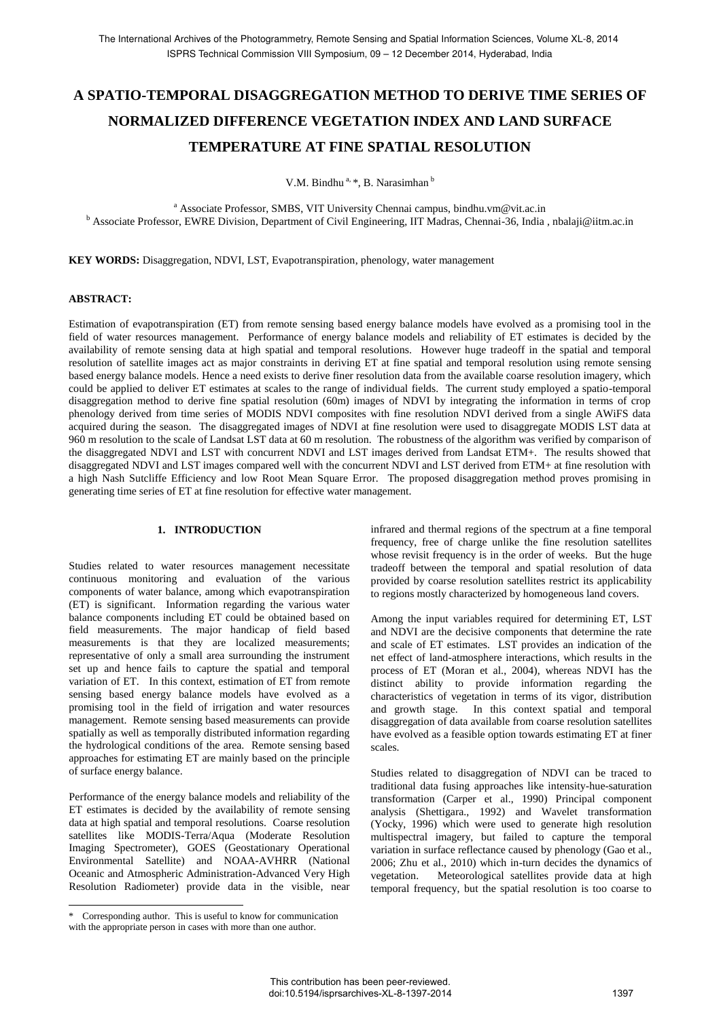# **A SPATIO-TEMPORAL DISAGGREGATION METHOD TO DERIVE TIME SERIES OF NORMALIZED DIFFERENCE VEGETATION INDEX AND LAND SURFACE TEMPERATURE AT FINE SPATIAL RESOLUTION**

V.M. Bindhu<sup>a,  $*$ </sup>, B. Narasimhan<sup>b</sup>

<sup>a</sup> Associate Professor, SMBS, VIT University Chennai campus, bindhu.vm@vit.ac.in <sup>b</sup> Associate Professor, EWRE Division, Department of Civil Engineering, IIT Madras, Chennai-36, India, nbalaji@iitm.ac.in

**KEY WORDS:** Disaggregation, NDVI, LST, Evapotranspiration, phenology, water management

### **ABSTRACT:**

Estimation of evapotranspiration (ET) from remote sensing based energy balance models have evolved as a promising tool in the field of water resources management. Performance of energy balance models and reliability of ET estimates is decided by the availability of remote sensing data at high spatial and temporal resolutions. However huge tradeoff in the spatial and temporal resolution of satellite images act as major constraints in deriving ET at fine spatial and temporal resolution using remote sensing based energy balance models. Hence a need exists to derive finer resolution data from the available coarse resolution imagery, which could be applied to deliver ET estimates at scales to the range of individual fields. The current study employed a spatio-temporal disaggregation method to derive fine spatial resolution (60m) images of NDVI by integrating the information in terms of crop phenology derived from time series of MODIS NDVI composites with fine resolution NDVI derived from a single AWiFS data acquired during the season. The disaggregated images of NDVI at fine resolution were used to disaggregate MODIS LST data at 960 m resolution to the scale of Landsat LST data at 60 m resolution. The robustness of the algorithm was verified by comparison of the disaggregated NDVI and LST with concurrent NDVI and LST images derived from Landsat ETM+. The results showed that disaggregated NDVI and LST images compared well with the concurrent NDVI and LST derived from ETM+ at fine resolution with a high Nash Sutcliffe Efficiency and low Root Mean Square Error. The proposed disaggregation method proves promising in generating time series of ET at fine resolution for effective water management.

## **1. INTRODUCTION**

Studies related to water resources management necessitate continuous monitoring and evaluation of the various components of water balance, among which evapotranspiration (ET) is significant. Information regarding the various water balance components including ET could be obtained based on field measurements. The major handicap of field based measurements is that they are localized measurements; representative of only a small area surrounding the instrument set up and hence fails to capture the spatial and temporal variation of ET. In this context, estimation of ET from remote sensing based energy balance models have evolved as a promising tool in the field of irrigation and water resources management. Remote sensing based measurements can provide spatially as well as temporally distributed information regarding the hydrological conditions of the area. Remote sensing based approaches for estimating ET are mainly based on the principle of surface energy balance.

Performance of the energy balance models and reliability of the ET estimates is decided by the availability of remote sensing data at high spatial and temporal resolutions. Coarse resolution satellites like MODIS-Terra/Aqua (Moderate Resolution Imaging Spectrometer), GOES (Geostationary Operational Environmental Satellite) and NOAA-AVHRR (National Oceanic and Atmospheric Administration-Advanced Very High Resolution Radiometer) provide data in the visible, near

 $\overline{a}$ 

infrared and thermal regions of the spectrum at a fine temporal frequency, free of charge unlike the fine resolution satellites whose revisit frequency is in the order of weeks. But the huge tradeoff between the temporal and spatial resolution of data provided by coarse resolution satellites restrict its applicability to regions mostly characterized by homogeneous land covers.

Among the input variables required for determining ET, LST and NDVI are the decisive components that determine the rate and scale of ET estimates. LST provides an indication of the net effect of land-atmosphere interactions, which results in the process of ET (Moran et al., 2004), whereas NDVI has the distinct ability to provide information regarding the characteristics of vegetation in terms of its vigor, distribution and growth stage. In this context spatial and temporal disaggregation of data available from coarse resolution satellites have evolved as a feasible option towards estimating ET at finer scales.

Studies related to disaggregation of NDVI can be traced to traditional data fusing approaches like intensity-hue-saturation transformation (Carper et al., 1990) Principal component analysis (Shettigara., 1992) and Wavelet transformation (Yocky, 1996) which were used to generate high resolution multispectral imagery, but failed to capture the temporal variation in surface reflectance caused by phenology (Gao et al., 2006; Zhu et al., 2010) which in-turn decides the dynamics of vegetation. Meteorological satellites provide data at high temporal frequency, but the spatial resolution is too coarse to

<sup>\*</sup> Corresponding author. This is useful to know for communication with the appropriate person in cases with more than one author.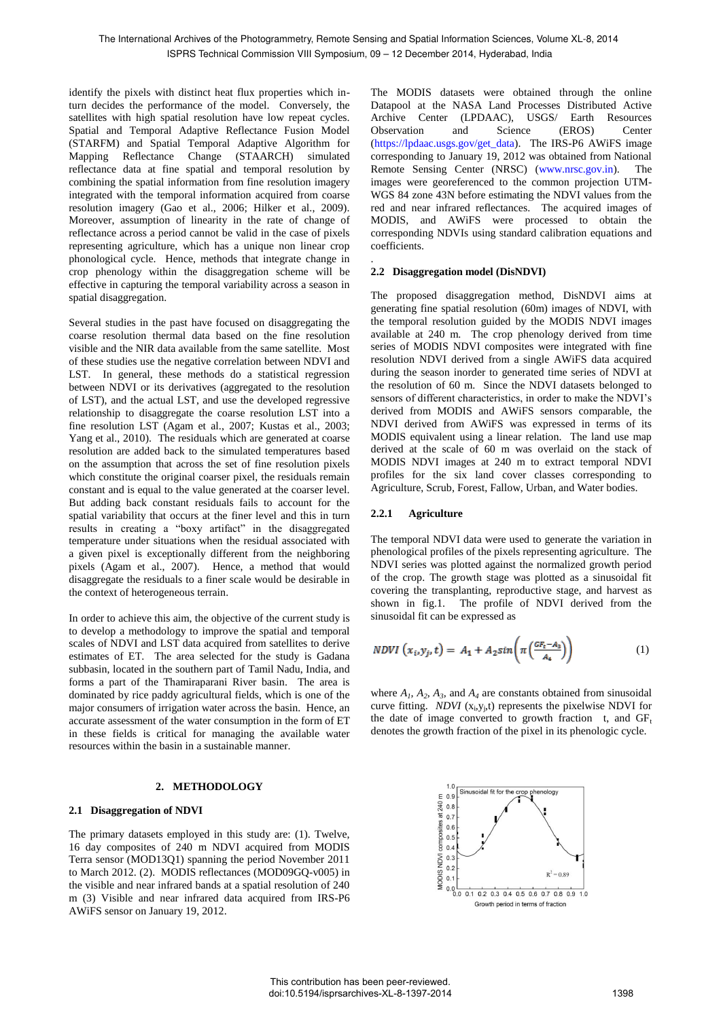identify the pixels with distinct heat flux properties which inturn decides the performance of the model. Conversely, the satellites with high spatial resolution have low repeat cycles. Spatial and Temporal Adaptive Reflectance Fusion Model (STARFM) and Spatial Temporal Adaptive Algorithm for Mapping Reflectance Change (STAARCH) simulated reflectance data at fine spatial and temporal resolution by combining the spatial information from fine resolution imagery integrated with the temporal information acquired from coarse resolution imagery (Gao et al., 2006; Hilker et al., 2009). Moreover, assumption of linearity in the rate of change of reflectance across a period cannot be valid in the case of pixels representing agriculture, which has a unique non linear crop phonological cycle. Hence, methods that integrate change in crop phenology within the disaggregation scheme will be effective in capturing the temporal variability across a season in spatial disaggregation.

Several studies in the past have focused on disaggregating the coarse resolution thermal data based on the fine resolution visible and the NIR data available from the same satellite. Most of these studies use the negative correlation between NDVI and LST. In general, these methods do a statistical regression between NDVI or its derivatives (aggregated to the resolution of LST), and the actual LST, and use the developed regressive relationship to disaggregate the coarse resolution LST into a fine resolution LST (Agam et al., 2007; Kustas et al., 2003; Yang et al., 2010). The residuals which are generated at coarse resolution are added back to the simulated temperatures based on the assumption that across the set of fine resolution pixels which constitute the original coarser pixel, the residuals remain constant and is equal to the value generated at the coarser level. But adding back constant residuals fails to account for the spatial variability that occurs at the finer level and this in turn results in creating a "boxy artifact" in the disaggregated temperature under situations when the residual associated with a given pixel is exceptionally different from the neighboring pixels (Agam et al., 2007). Hence, a method that would disaggregate the residuals to a finer scale would be desirable in the context of heterogeneous terrain.

In order to achieve this aim, the objective of the current study is to develop a methodology to improve the spatial and temporal scales of NDVI and LST data acquired from satellites to derive estimates of ET. The area selected for the study is Gadana subbasin, located in the southern part of Tamil Nadu, India, and forms a part of the Thamiraparani River basin. The area is dominated by rice paddy agricultural fields, which is one of the major consumers of irrigation water across the basin. Hence, an accurate assessment of the water consumption in the form of ET in these fields is critical for managing the available water resources within the basin in a sustainable manner.

# **2. METHODOLOGY**

# **2.1 Disaggregation of NDVI**

The primary datasets employed in this study are: (1). Twelve, 16 day composites of 240 m NDVI acquired from MODIS Terra sensor (MOD13Q1) spanning the period November 2011 to March 2012. (2). MODIS reflectances (MOD09GQ-v005) in the visible and near infrared bands at a spatial resolution of 240 m (3) Visible and near infrared data acquired from IRS-P6 AWiFS sensor on January 19, 2012.

The MODIS datasets were obtained through the online Datapool at the NASA Land Processes Distributed Active Archive Center (LPDAAC), USGS/ Earth Resources Observation and Science (EROS) Center (https://lpdaac.usgs.gov/get\_data). The IRS-P6 AWiFS image corresponding to January 19, 2012 was obtained from National Remote Sensing Center (NRSC) (www.nrsc.gov.in). The images were georeferenced to the common projection UTM-WGS 84 zone 43N before estimating the NDVI values from the red and near infrared reflectances. The acquired images of MODIS, and AWiFS were processed to obtain the corresponding NDVIs using standard calibration equations and coefficients.

#### . **2.2 Disaggregation model (DisNDVI)**

The proposed disaggregation method, DisNDVI aims at generating fine spatial resolution (60m) images of NDVI, with the temporal resolution guided by the MODIS NDVI images available at 240 m. The crop phenology derived from time series of MODIS NDVI composites were integrated with fine resolution NDVI derived from a single AWiFS data acquired during the season inorder to generated time series of NDVI at the resolution of 60 m. Since the NDVI datasets belonged to sensors of different characteristics, in order to make the NDVI's derived from MODIS and AWiFS sensors comparable, the NDVI derived from AWiFS was expressed in terms of its MODIS equivalent using a linear relation. The land use map derived at the scale of 60 m was overlaid on the stack of MODIS NDVI images at 240 m to extract temporal NDVI profiles for the six land cover classes corresponding to Agriculture, Scrub, Forest, Fallow, Urban, and Water bodies.

# **2.2.1 Agriculture**

The temporal NDVI data were used to generate the variation in phenological profiles of the pixels representing agriculture. The NDVI series was plotted against the normalized growth period of the crop. The growth stage was plotted as a sinusoidal fit covering the transplanting, reproductive stage, and harvest as shown in fig.1. The profile of NDVI derived from the sinusoidal fit can be expressed as

$$
NDVI(x_i, y_j, t) = A_1 + A_2 sin\left(\pi \left(\frac{GF_t - A_3}{A_4}\right)\right) \tag{1}
$$

where  $A_1$ ,  $A_2$ ,  $A_3$ , and  $A_4$  are constants obtained from sinusoidal curve fitting. *NDVI*  $(x_i, y_j, t)$  represents the pixelwise NDVI for the date of image converted to growth fraction t, and  $GF_t$ denotes the growth fraction of the pixel in its phenologic cycle.

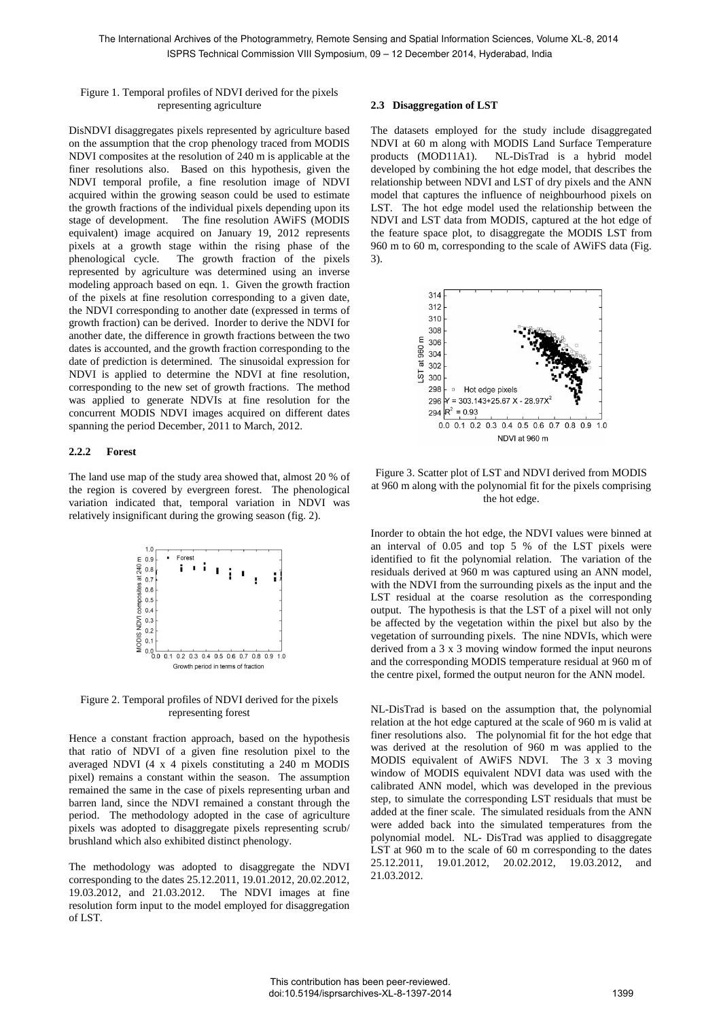Figure 1. Temporal profiles of NDVI derived for the pixels representing agriculture

DisNDVI disaggregates pixels represented by agriculture based on the assumption that the crop phenology traced from MODIS NDVI composites at the resolution of 240 m is applicable at the finer resolutions also. Based on this hypothesis, given the NDVI temporal profile, a fine resolution image of NDVI acquired within the growing season could be used to estimate the growth fractions of the individual pixels depending upon its stage of development. The fine resolution AWiFS (MODIS equivalent) image acquired on January 19, 2012 represents pixels at a growth stage within the rising phase of the phenological cycle. The growth fraction of the pixels represented by agriculture was determined using an inverse modeling approach based on eqn. 1. Given the growth fraction of the pixels at fine resolution corresponding to a given date, the NDVI corresponding to another date (expressed in terms of growth fraction) can be derived. Inorder to derive the NDVI for another date, the difference in growth fractions between the two dates is accounted, and the growth fraction corresponding to the date of prediction is determined. The sinusoidal expression for NDVI is applied to determine the NDVI at fine resolution, corresponding to the new set of growth fractions. The method was applied to generate NDVIs at fine resolution for the concurrent MODIS NDVI images acquired on different dates spanning the period December, 2011 to March, 2012.

### **2.2.2 Forest**

The land use map of the study area showed that, almost 20 % of the region is covered by evergreen forest. The phenological variation indicated that, temporal variation in NDVI was relatively insignificant during the growing season (fig. 2).



Figure 2. Temporal profiles of NDVI derived for the pixels representing forest

Hence a constant fraction approach, based on the hypothesis that ratio of NDVI of a given fine resolution pixel to the averaged NDVI (4 x 4 pixels constituting a 240 m MODIS pixel) remains a constant within the season. The assumption remained the same in the case of pixels representing urban and barren land, since the NDVI remained a constant through the period. The methodology adopted in the case of agriculture pixels was adopted to disaggregate pixels representing scrub/ brushland which also exhibited distinct phenology.

The methodology was adopted to disaggregate the NDVI corresponding to the dates 25.12.2011, 19.01.2012, 20.02.2012, 19.03.2012, and 21.03.2012. The NDVI images at fine resolution form input to the model employed for disaggregation of LST.

#### **2.3 Disaggregation of LST**

The datasets employed for the study include disaggregated NDVI at 60 m along with MODIS Land Surface Temperature products (MOD11A1). NL-DisTrad is a hybrid model developed by combining the hot edge model, that describes the relationship between NDVI and LST of dry pixels and the ANN model that captures the influence of neighbourhood pixels on LST. The hot edge model used the relationship between the NDVI and LST data from MODIS, captured at the hot edge of the feature space plot, to disaggregate the MODIS LST from 960 m to 60 m, corresponding to the scale of AWiFS data (Fig. 3).



Figure 3. Scatter plot of LST and NDVI derived from MODIS at 960 m along with the polynomial fit for the pixels comprising the hot edge.

Inorder to obtain the hot edge, the NDVI values were binned at an interval of 0.05 and top 5 % of the LST pixels were identified to fit the polynomial relation. The variation of the residuals derived at 960 m was captured using an ANN model, with the NDVI from the surrounding pixels as the input and the LST residual at the coarse resolution as the corresponding output. The hypothesis is that the LST of a pixel will not only be affected by the vegetation within the pixel but also by the vegetation of surrounding pixels. The nine NDVIs, which were derived from a 3 x 3 moving window formed the input neurons and the corresponding MODIS temperature residual at 960 m of the centre pixel, formed the output neuron for the ANN model.

NL-DisTrad is based on the assumption that, the polynomial relation at the hot edge captured at the scale of 960 m is valid at finer resolutions also. The polynomial fit for the hot edge that was derived at the resolution of 960 m was applied to the MODIS equivalent of AWiFS NDVI. The 3 x 3 moving window of MODIS equivalent NDVI data was used with the calibrated ANN model, which was developed in the previous step, to simulate the corresponding LST residuals that must be added at the finer scale. The simulated residuals from the ANN were added back into the simulated temperatures from the polynomial model. NL- DisTrad was applied to disaggregate LST at 960 m to the scale of 60 m corresponding to the dates 25.12.2011, 19.01.2012, 20.02.2012, 19.03.2012, and 21.03.2012.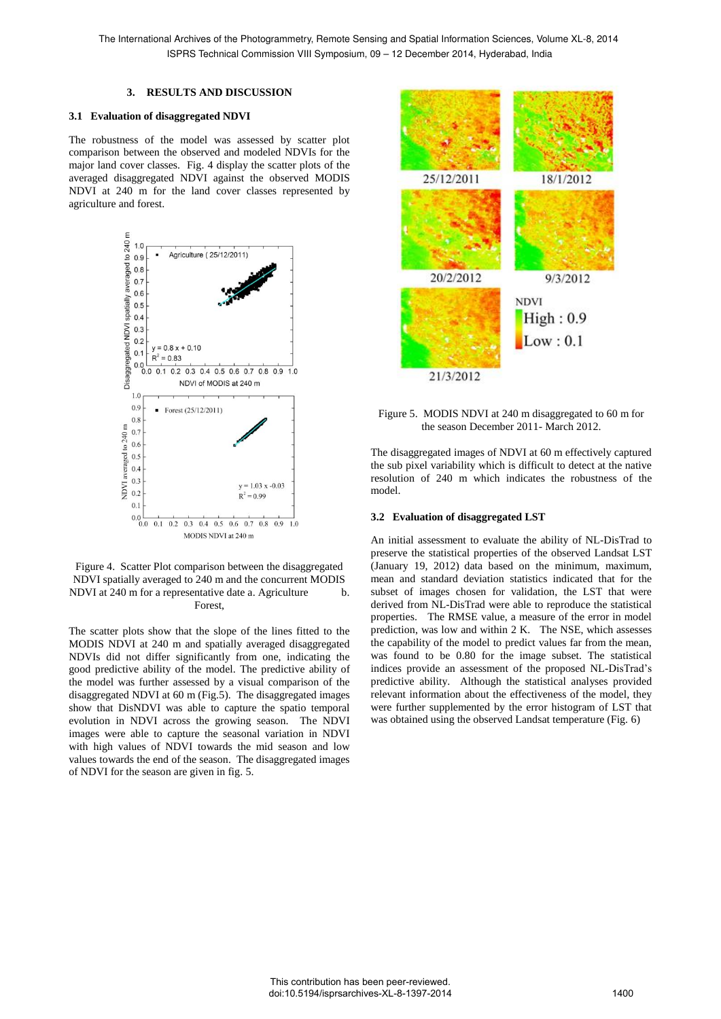#### **3. RESULTS AND DISCUSSION**

### **3.1 Evaluation of disaggregated NDVI**

The robustness of the model was assessed by scatter plot comparison between the observed and modeled NDVIs for the major land cover classes. Fig. 4 display the scatter plots of the averaged disaggregated NDVI against the observed MODIS NDVI at 240 m for the land cover classes represented by agriculture and forest.



Figure 4. Scatter Plot comparison between the disaggregated NDVI spatially averaged to 240 m and the concurrent MODIS NDVI at 240 m for a representative date a. Agriculture b. Forest,

The scatter plots show that the slope of the lines fitted to the MODIS NDVI at 240 m and spatially averaged disaggregated NDVIs did not differ significantly from one, indicating the good predictive ability of the model. The predictive ability of the model was further assessed by a visual comparison of the disaggregated NDVI at 60 m (Fig.5). The disaggregated images show that DisNDVI was able to capture the spatio temporal evolution in NDVI across the growing season. The NDVI images were able to capture the seasonal variation in NDVI with high values of NDVI towards the mid season and low values towards the end of the season. The disaggregated images of NDVI for the season are given in fig. 5.



Figure 5.MODIS NDVI at 240 m disaggregated to 60 m for the season December 2011- March 2012.

The disaggregated images of NDVI at 60 m effectively captured the sub pixel variability which is difficult to detect at the native resolution of 240 m which indicates the robustness of the model.

# **3.2 Evaluation of disaggregated LST**

An initial assessment to evaluate the ability of NL-DisTrad to preserve the statistical properties of the observed Landsat LST (January 19, 2012) data based on the minimum, maximum, mean and standard deviation statistics indicated that for the subset of images chosen for validation, the LST that were derived from NL-DisTrad were able to reproduce the statistical properties. The RMSE value, a measure of the error in model prediction, was low and within 2 K. The NSE, which assesses the capability of the model to predict values far from the mean, was found to be 0.80 for the image subset. The statistical indices provide an assessment of the proposed NL-DisTrad's predictive ability. Although the statistical analyses provided relevant information about the effectiveness of the model, they were further supplemented by the error histogram of LST that was obtained using the observed Landsat temperature (Fig. 6)